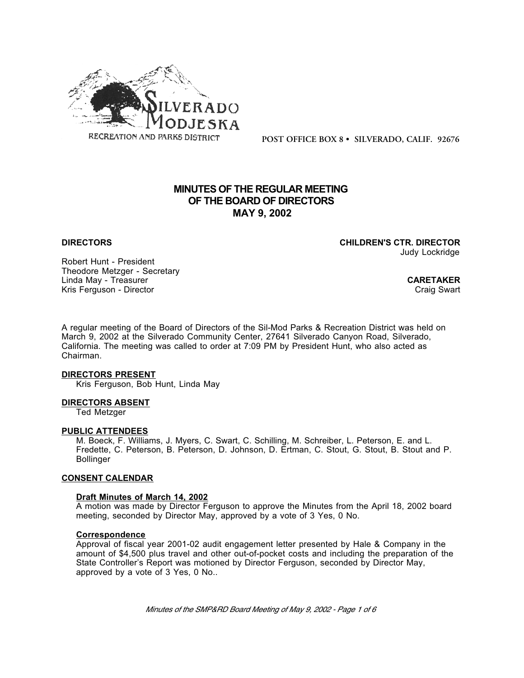

**POST OFFICE BOX 8 • SILVERADO, CALIF. 92676**

# **MINUTES OF THE REGULAR MEETING OF THE BOARD OF DIRECTORS MAY 9, 2002**

**DIRECTORS CHILDREN'S CTR. DIRECTOR** Judy Lockridge

Robert Hunt - President Theodore Metzger - Secretary Linda May - Treasurer **CARETAKER** Kris Ferguson - Director Craig Swart Craig Swart Craig Swart Craig Swart Craig Swart

A regular meeting of the Board of Directors of the Sil-Mod Parks & Recreation District was held on March 9, 2002 at the Silverado Community Center, 27641 Silverado Canyon Road, Silverado, California. The meeting was called to order at 7:09 PM by President Hunt, who also acted as Chairman.

### **DIRECTORS PRESENT**

Kris Ferguson, Bob Hunt, Linda May

### **DIRECTORS ABSENT**

Ted Metzger

### **PUBLIC ATTENDEES**

M. Boeck, F. Williams, J. Myers, C. Swart, C. Schilling, M. Schreiber, L. Peterson, E. and L. Fredette, C. Peterson, B. Peterson, D. Johnson, D. Ertman, C. Stout, G. Stout, B. Stout and P. Bollinger

# **CONSENT CALENDAR**

### **Draft Minutes of March 14, 2002**

A motion was made by Director Ferguson to approve the Minutes from the April 18, 2002 board meeting, seconded by Director May, approved by a vote of 3 Yes, 0 No.

### **Correspondence**

Approval of fiscal year 2001-02 audit engagement letter presented by Hale & Company in the amount of \$4,500 plus travel and other out-of-pocket costs and including the preparation of the State Controller's Report was motioned by Director Ferguson, seconded by Director May, approved by a vote of 3 Yes, 0 No..

*Minutes of the SMP&RD Board Meeting of May 9, 2002 - Page 1 of 6*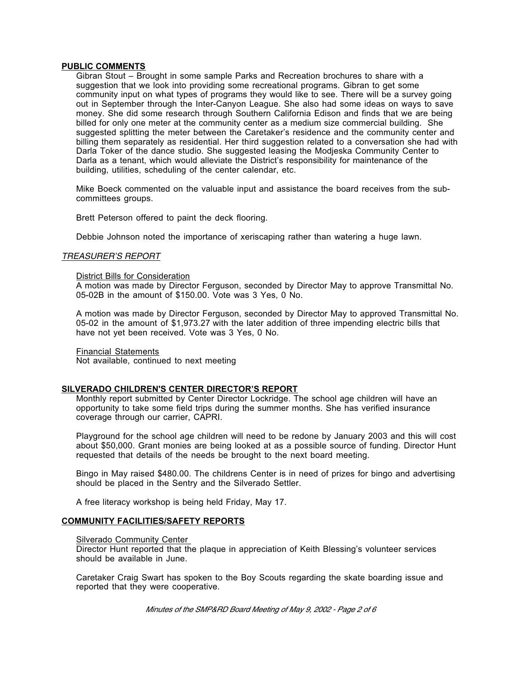#### **PUBLIC COMMENTS**

Gibran Stout – Brought in some sample Parks and Recreation brochures to share with a suggestion that we look into providing some recreational programs. Gibran to get some community input on what types of programs they would like to see. There will be a survey going out in September through the Inter-Canyon League. She also had some ideas on ways to save money. She did some research through Southern California Edison and finds that we are being billed for only one meter at the community center as a medium size commercial building. She suggested splitting the meter between the Caretaker's residence and the community center and billing them separately as residential. Her third suggestion related to a conversation she had with Darla Toker of the dance studio. She suggested leasing the Modjeska Community Center to Darla as a tenant, which would alleviate the District's responsibility for maintenance of the building, utilities, scheduling of the center calendar, etc.

Mike Boeck commented on the valuable input and assistance the board receives from the subcommittees groups.

Brett Peterson offered to paint the deck flooring.

Debbie Johnson noted the importance of xeriscaping rather than watering a huge lawn.

### *TREASURER'S REPORT*

#### District Bills for Consideration

A motion was made by Director Ferguson, seconded by Director May to approve Transmittal No. 05-02B in the amount of \$150.00. Vote was 3 Yes, 0 No.

A motion was made by Director Ferguson, seconded by Director May to approved Transmittal No. 05-02 in the amount of \$1,973.27 with the later addition of three impending electric bills that have not yet been received. Vote was 3 Yes, 0 No.

Financial Statements Not available, continued to next meeting

### **SILVERADO CHILDREN'S CENTER DIRECTOR'S REPORT**

Monthly report submitted by Center Director Lockridge. The school age children will have an opportunity to take some field trips during the summer months. She has verified insurance coverage through our carrier, CAPRI.

Playground for the school age children will need to be redone by January 2003 and this will cost about \$50,000. Grant monies are being looked at as a possible source of funding. Director Hunt requested that details of the needs be brought to the next board meeting.

Bingo in May raised \$480.00. The childrens Center is in need of prizes for bingo and advertising should be placed in the Sentry and the Silverado Settler.

A free literacy workshop is being held Friday, May 17.

# **COMMUNITY FACILITIES/SAFETY REPORTS**

#### Silverado Community Center

Director Hunt reported that the plaque in appreciation of Keith Blessing's volunteer services should be available in June.

Caretaker Craig Swart has spoken to the Boy Scouts regarding the skate boarding issue and reported that they were cooperative.

*Minutes of the SMP&RD Board Meeting of May 9, 2002 - Page 2 of 6*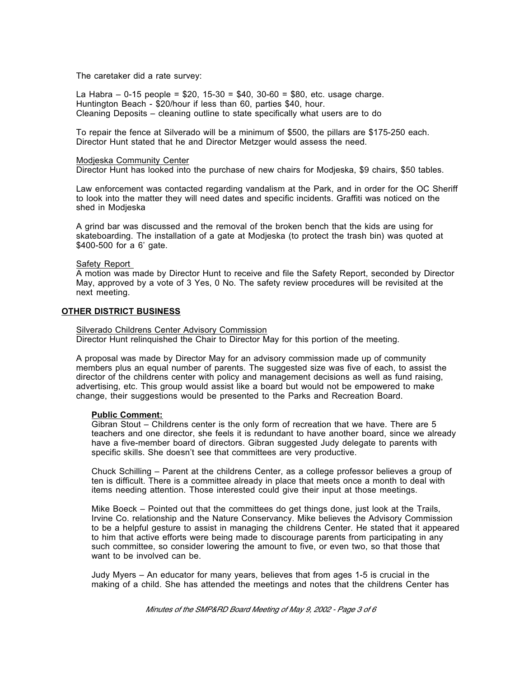The caretaker did a rate survey:

La Habra – 0-15 people =  $$20, 15-30 = $40, 30-60 = $80$ , etc. usage charge. Huntington Beach - \$20/hour if less than 60, parties \$40, hour. Cleaning Deposits – cleaning outline to state specifically what users are to do

To repair the fence at Silverado will be a minimum of \$500, the pillars are \$175-250 each. Director Hunt stated that he and Director Metzger would assess the need.

### Modjeska Community Center

Director Hunt has looked into the purchase of new chairs for Modjeska, \$9 chairs, \$50 tables.

Law enforcement was contacted regarding vandalism at the Park, and in order for the OC Sheriff to look into the matter they will need dates and specific incidents. Graffiti was noticed on the shed in Modjeska

A grind bar was discussed and the removal of the broken bench that the kids are using for skateboarding. The installation of a gate at Modjeska (to protect the trash bin) was quoted at \$400-500 for a 6' gate.

### Safety Report

A motion was made by Director Hunt to receive and file the Safety Report, seconded by Director May, approved by a vote of 3 Yes, 0 No. The safety review procedures will be revisited at the next meeting.

# **OTHER DISTRICT BUSINESS**

# Silverado Childrens Center Advisory Commission

Director Hunt relinquished the Chair to Director May for this portion of the meeting.

A proposal was made by Director May for an advisory commission made up of community members plus an equal number of parents. The suggested size was five of each, to assist the director of the childrens center with policy and management decisions as well as fund raising, advertising, etc. This group would assist like a board but would not be empowered to make change, their suggestions would be presented to the Parks and Recreation Board.

# **Public Comment:**

Gibran Stout – Childrens center is the only form of recreation that we have. There are 5 teachers and one director, she feels it is redundant to have another board, since we already have a five-member board of directors. Gibran suggested Judy delegate to parents with specific skills. She doesn't see that committees are very productive.

Chuck Schilling – Parent at the childrens Center, as a college professor believes a group of ten is difficult. There is a committee already in place that meets once a month to deal with items needing attention. Those interested could give their input at those meetings.

Mike Boeck – Pointed out that the committees do get things done, just look at the Trails, Irvine Co. relationship and the Nature Conservancy. Mike believes the Advisory Commission to be a helpful gesture to assist in managing the childrens Center. He stated that it appeared to him that active efforts were being made to discourage parents from participating in any such committee, so consider lowering the amount to five, or even two, so that those that want to be involved can be.

Judy Myers – An educator for many years, believes that from ages 1-5 is crucial in the making of a child. She has attended the meetings and notes that the childrens Center has

*Minutes of the SMP&RD Board Meeting of May 9, 2002 - Page 3 of 6*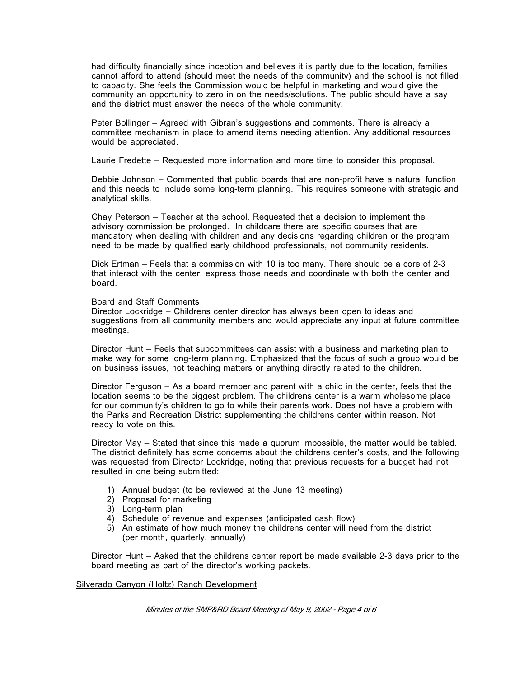had difficulty financially since inception and believes it is partly due to the location, families cannot afford to attend (should meet the needs of the community) and the school is not filled to capacity. She feels the Commission would be helpful in marketing and would give the community an opportunity to zero in on the needs/solutions. The public should have a say and the district must answer the needs of the whole community.

Peter Bollinger – Agreed with Gibran's suggestions and comments. There is already a committee mechanism in place to amend items needing attention. Any additional resources would be appreciated.

Laurie Fredette – Requested more information and more time to consider this proposal.

Debbie Johnson – Commented that public boards that are non-profit have a natural function and this needs to include some long-term planning. This requires someone with strategic and analytical skills.

Chay Peterson – Teacher at the school. Requested that a decision to implement the advisory commission be prolonged. In childcare there are specific courses that are mandatory when dealing with children and any decisions regarding children or the program need to be made by qualified early childhood professionals, not community residents.

Dick Ertman – Feels that a commission with 10 is too many. There should be a core of 2-3 that interact with the center, express those needs and coordinate with both the center and board.

### Board and Staff Comments

Director Lockridge – Childrens center director has always been open to ideas and suggestions from all community members and would appreciate any input at future committee meetings.

Director Hunt – Feels that subcommittees can assist with a business and marketing plan to make way for some long-term planning. Emphasized that the focus of such a group would be on business issues, not teaching matters or anything directly related to the children.

Director Ferguson – As a board member and parent with a child in the center, feels that the location seems to be the biggest problem. The childrens center is a warm wholesome place for our community's children to go to while their parents work. Does not have a problem with the Parks and Recreation District supplementing the childrens center within reason. Not ready to vote on this.

Director May – Stated that since this made a quorum impossible, the matter would be tabled. The district definitely has some concerns about the childrens center's costs, and the following was requested from Director Lockridge, noting that previous requests for a budget had not resulted in one being submitted:

- 1) Annual budget (to be reviewed at the June 13 meeting)
- 2) Proposal for marketing
- 3) Long-term plan
- 4) Schedule of revenue and expenses (anticipated cash flow)
- 5) An estimate of how much money the childrens center will need from the district (per month, quarterly, annually)

Director Hunt – Asked that the childrens center report be made available 2-3 days prior to the board meeting as part of the director's working packets.

### Silverado Canyon (Holtz) Ranch Development

*Minutes of the SMP&RD Board Meeting of May 9, 2002 - Page 4 of 6*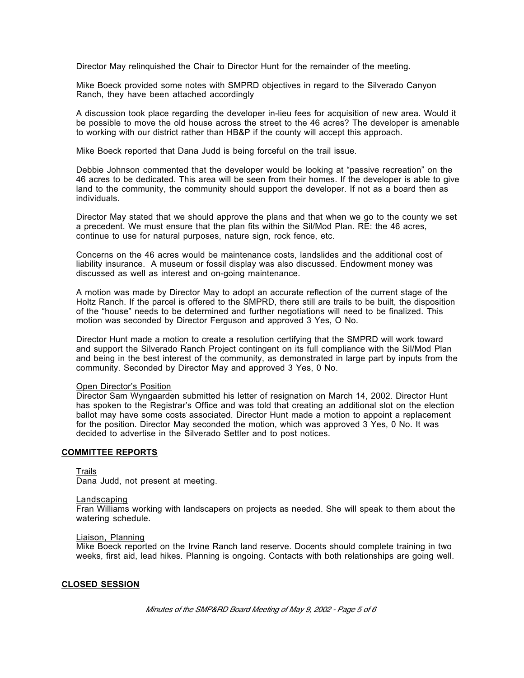Director May relinquished the Chair to Director Hunt for the remainder of the meeting.

Mike Boeck provided some notes with SMPRD objectives in regard to the Silverado Canyon Ranch, they have been attached accordingly

A discussion took place regarding the developer in-lieu fees for acquisition of new area. Would it be possible to move the old house across the street to the 46 acres? The developer is amenable to working with our district rather than HB&P if the county will accept this approach.

Mike Boeck reported that Dana Judd is being forceful on the trail issue.

Debbie Johnson commented that the developer would be looking at "passive recreation" on the 46 acres to be dedicated. This area will be seen from their homes. If the developer is able to give land to the community, the community should support the developer. If not as a board then as individuals.

Director May stated that we should approve the plans and that when we go to the county we set a precedent. We must ensure that the plan fits within the Sil/Mod Plan. RE: the 46 acres, continue to use for natural purposes, nature sign, rock fence, etc.

Concerns on the 46 acres would be maintenance costs, landslides and the additional cost of liability insurance. A museum or fossil display was also discussed. Endowment money was discussed as well as interest and on-going maintenance.

A motion was made by Director May to adopt an accurate reflection of the current stage of the Holtz Ranch. If the parcel is offered to the SMPRD, there still are trails to be built, the disposition of the "house" needs to be determined and further negotiations will need to be finalized. This motion was seconded by Director Ferguson and approved 3 Yes, O No.

Director Hunt made a motion to create a resolution certifying that the SMPRD will work toward and support the Silverado Ranch Project contingent on its full compliance with the Sil/Mod Plan and being in the best interest of the community, as demonstrated in large part by inputs from the community. Seconded by Director May and approved 3 Yes, 0 No.

### Open Director's Position

Director Sam Wyngaarden submitted his letter of resignation on March 14, 2002. Director Hunt has spoken to the Registrar's Office and was told that creating an additional slot on the election ballot may have some costs associated. Director Hunt made a motion to appoint a replacement for the position. Director May seconded the motion, which was approved 3 Yes, 0 No. It was decided to advertise in the Silverado Settler and to post notices.

# **COMMITTEE REPORTS**

Trails

Dana Judd, not present at meeting.

#### **Landscaping**

Fran Williams working with landscapers on projects as needed. She will speak to them about the watering schedule.

#### Liaison, Planning

Mike Boeck reported on the Irvine Ranch land reserve. Docents should complete training in two weeks, first aid, lead hikes. Planning is ongoing. Contacts with both relationships are going well.

# **CLOSED SESSION**